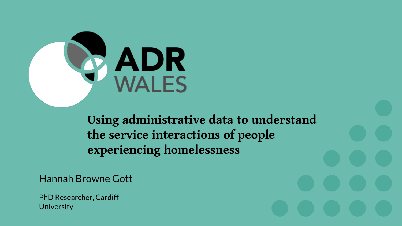

**Using administrative data to understand the service interactions of people experiencing homelessness** 

Hannah Browne Gott

PhD Researcher, Cardiff **University**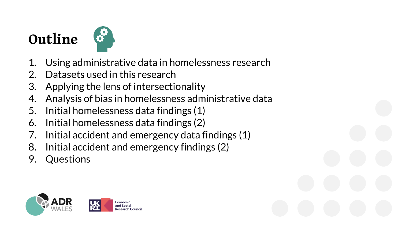## **Outline**



- Using administrative data in homelessness research
- 2. Datasets used in this research
- 3. Applying the lens of intersectionality
- 4. Analysis of bias in homelessness administrative data
- 5. Initial homelessness data findings (1)
- 6. Initial homelessness data findings (2)
- 7. Initial accident and emergency data findings (1)
- 8. Initial accident and emergency findings (2)
- 9. Questions

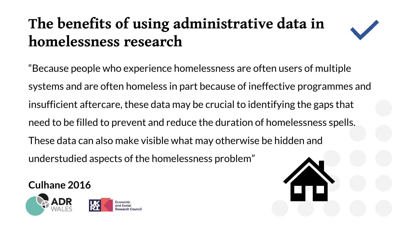# **The benefits of using administrative data in homelessness research**



"Because people who experience homelessness are often users of multiple systems and are often homeless in part because of ineffective programmes and insufficient aftercare, these data may be crucial to identifying the gaps that need to be filled to prevent and reduce the duration of homelessness spells. These data can also make visible what may otherwise be hidden and understudied aspects of the homelessness problem"

**Culhane 2016**

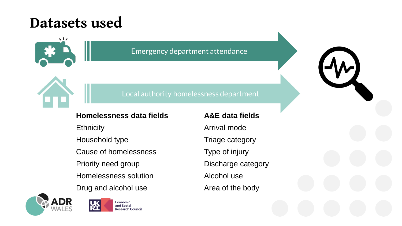### **Datasets used**



Emergency department attendance

#### Local authority homelessness department

#### Homelessness data fields **A&E** data fields

Cause of homelessness Type of injury

Homelessness solution **Alcohol use** 

Drug and alcohol use Area of the body





Ethnicity **Arrival mode** Household type Triage category Priority need group **Discharge category**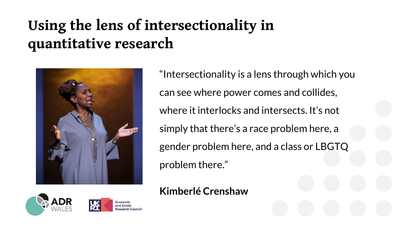# **Using the lens of intersectionality in quantitative research**



"Intersectionality is a lens through which you can see where power comes and collides, where it interlocks and intersects. It's not simply that there's a race problem here, a gender problem here, and a class or LBGTQ problem there."

#### **Kimberlé Crenshaw**



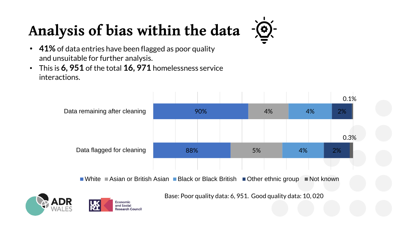# **Analysis of bias within the data**



- **41%** of data entries have been flagged as poor quality and unsuitable for further analysis.
- This is **6, 951** of the total **16, 971** homelessness service interactions.



White Asian or British Asian Black or Black British Department aroup Not known

Base: Poor quality data: 6, 951. Good quality data: 10, 020



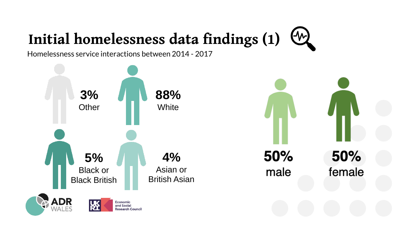#### $\left(\frac{1}{2}\right)$ **Initial homelessness data findings (1)**

Homelessness service interactions between 2014 - 2017

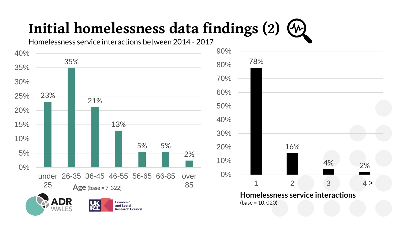# **Initial homelessness data findings (2)**

4% 2%

 $4 >$ 

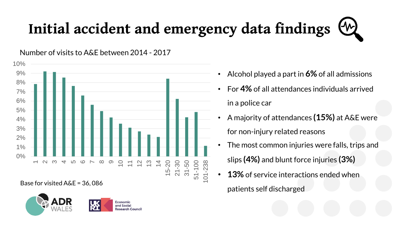# **Initial accident and emergency data findings**

0%  $1\%$ 2% 3% 4% 5% 6% 7% 8% 9% 10%  $\overline{\phantom{0}}$ പ ധ  $\overline{4}$ 5  $\circ$  $\overline{\phantom{0}}$  $\infty$  $\mathcal{O}$  $\supseteq$ 1<br>1<br>1<br>1  $\frac{1}{2}$  $\overline{4}$ 15-20 21-30 31-50 51-100 101-238

Number of visits to A&E between 2014 - 2017

Base for visited A&E = 36, 086



- Alcohol played a part in **6%** of all admissions
- For **4%** of all attendances individuals arrived in a police car
- A majority of attendances **(15%)** at A&E were for non-injury related reasons
- The most common injuries were falls, trips and slips **(4%)** and blunt force injuries **(3%)**
- **13%** of service interactions ended when patients self discharged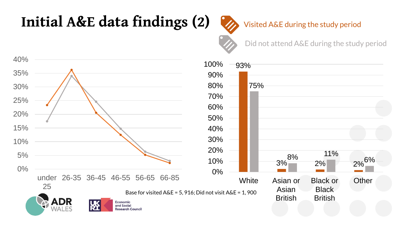## **Initial A&E data findings (2)**

Visited A&E during the study period

Did not attend A&E during the study period

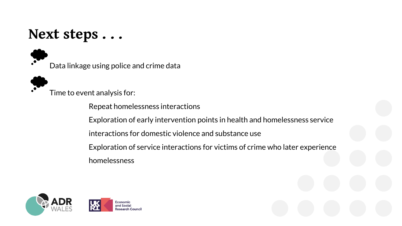### **Next steps . . .**

Data linkage using police and crime data



Time to event analysis for:

Repeat homelessness interactions

Exploration of early intervention points in health and homelessness service

interactions for domestic violence and substance use

Exploration of service interactions for victims of crime who later experience homelessness